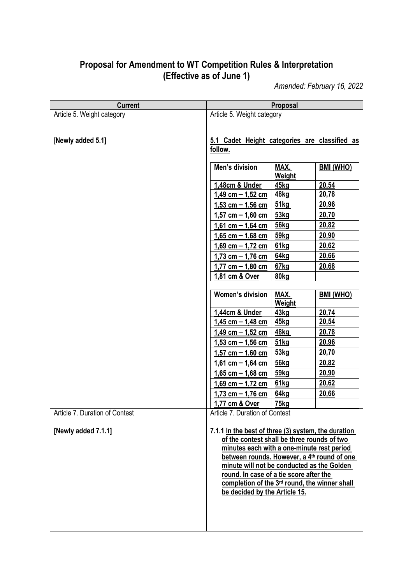## **Proposal for Amendment to WT Competition Rules & Interpretation (Effective as of June 1)**

*Amended: February 16, 2022*

| <b>Current</b>                 |                                                                                           | Proposal              |                  |
|--------------------------------|-------------------------------------------------------------------------------------------|-----------------------|------------------|
| Article 5. Weight category     | Article 5. Weight category                                                                |                       |                  |
|                                |                                                                                           |                       |                  |
| [Newly added 5.1]              |                                                                                           |                       |                  |
|                                | 5.1 Cadet Height categories are classified as<br>follow.                                  |                       |                  |
|                                |                                                                                           |                       |                  |
|                                | Men's division                                                                            | MAX.                  | <b>BMI (WHO)</b> |
|                                |                                                                                           | Weight                |                  |
|                                | 1,48cm & Under                                                                            | 45kg                  | 20,54            |
|                                | $1,49$ cm $- 1,52$ cm                                                                     | <b>48kg</b>           | 20,78            |
|                                | $1,53$ cm $-1,56$ cm                                                                      | 51kg                  | 20,96            |
|                                | $1,57$ cm $- 1,60$ cm                                                                     | 53kg                  | 20,70            |
|                                | $1,61$ cm $- 1,64$ cm                                                                     | 56kq                  | 20,82            |
|                                | $1,65$ cm $-1,68$ cm                                                                      | <u>59kg</u>           | 20,90            |
|                                | $1,69$ cm $- 1,72$ cm                                                                     | 61kg                  | 20,62            |
|                                | $1,73$ cm $- 1,76$ cm                                                                     | 64kg                  | 20,66            |
|                                | $1,77$ cm $- 1,80$ cm                                                                     | 67kg                  | 20,68            |
|                                | 1,81 cm & Over                                                                            | 80kg                  |                  |
|                                |                                                                                           |                       |                  |
|                                | <b>Women's division</b>                                                                   | MAX.<br><b>Weight</b> | <b>BMI (WHO)</b> |
|                                | 1,44cm & Under                                                                            | 43kg                  | 20,74            |
|                                | $1,45$ cm $-1,48$ cm                                                                      | <b>45kg</b>           | 20,54            |
|                                | $1,49$ cm $- 1,52$ cm                                                                     | 48kg                  | 20,78            |
|                                | $1,53$ cm $- 1,56$ cm                                                                     | 51kg                  | 20,96            |
|                                | $1,57$ cm $- 1,60$ cm                                                                     | 53kg                  | 20,70            |
|                                | $1,61$ cm $- 1,64$ cm                                                                     | <b>56kg</b>           | 20,82            |
|                                | $1,65$ cm $- 1,68$ cm                                                                     | 59kg                  | 20,90            |
|                                | $1,69$ cm $- 1,72$ cm                                                                     | 61kg                  | 20,62            |
|                                | $1,73$ cm $-1,76$ cm                                                                      | 64kg                  | 20,66            |
|                                | 1,77 cm & Over                                                                            | 75kg                  |                  |
| Article 7. Duration of Contest | Article 7. Duration of Contest                                                            |                       |                  |
|                                |                                                                                           |                       |                  |
| [Newly added 7.1.1]            | 7.1.1 In the best of three (3) system, the duration                                       |                       |                  |
|                                | of the contest shall be three rounds of two<br>minutes each with a one-minute rest period |                       |                  |
|                                | between rounds. However, a 4 <sup>th</sup> round of one                                   |                       |                  |
|                                | minute will not be conducted as the Golden                                                |                       |                  |
|                                | round. In case of a tie score after the                                                   |                       |                  |
|                                | completion of the 3 <sup>rd</sup> round, the winner shall                                 |                       |                  |
|                                | be decided by the Article 15.                                                             |                       |                  |
|                                |                                                                                           |                       |                  |
|                                |                                                                                           |                       |                  |
|                                |                                                                                           |                       |                  |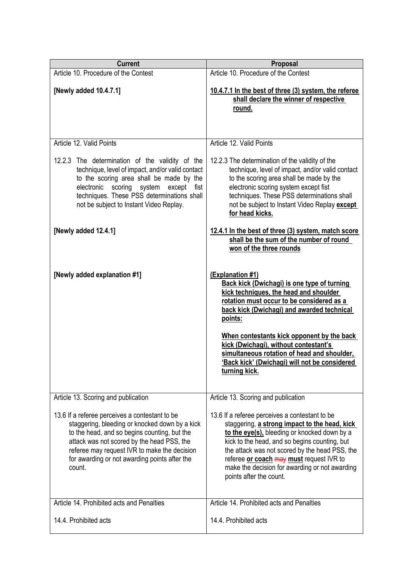| <b>Current</b>                                                                                                                                                                                                                                                                                            | Proposal                                                                                                                                                                                                                                                                                                                                                                                                                       |
|-----------------------------------------------------------------------------------------------------------------------------------------------------------------------------------------------------------------------------------------------------------------------------------------------------------|--------------------------------------------------------------------------------------------------------------------------------------------------------------------------------------------------------------------------------------------------------------------------------------------------------------------------------------------------------------------------------------------------------------------------------|
| Article 10. Procedure of the Contest                                                                                                                                                                                                                                                                      | Article 10. Procedure of the Contest                                                                                                                                                                                                                                                                                                                                                                                           |
| [Newly added 10.4.7.1]                                                                                                                                                                                                                                                                                    | 10.4.7.1 In the best of three (3) system, the referee<br>shall declare the winner of respective<br>round.                                                                                                                                                                                                                                                                                                                      |
| Article 12. Valid Points                                                                                                                                                                                                                                                                                  | Article 12. Valid Points                                                                                                                                                                                                                                                                                                                                                                                                       |
| 12.2.3 The determination of the validity of the<br>technique, level of impact, and/or valid contact<br>to the scoring area shall be made by the<br>scoring system<br>electronic<br>except<br>fist<br>techniques. These PSS determinations shall<br>not be subject to Instant Video Replay.                | 12.2.3 The determination of the validity of the<br>technique, level of impact, and/or valid contact<br>to the scoring area shall be made by the<br>electronic scoring system except fist<br>techniques. These PSS determinations shall<br>not be subject to Instant Video Replay except<br>for head kicks.                                                                                                                     |
| [Newly added 12.4.1]                                                                                                                                                                                                                                                                                      | 12.4.1 In the best of three (3) system, match score<br>shall be the sum of the number of round<br>won of the three rounds                                                                                                                                                                                                                                                                                                      |
| [Newly added explanation #1]                                                                                                                                                                                                                                                                              | (Explanation #1)<br><b>Back kick (Dwichagi) is one type of turning</b><br>kick techniques, the head and shoulder<br>rotation must occur to be considered as a<br>back kick (Dwichagi) and awarded technical<br>points:<br>When contestants kick opponent by the back<br>kick (Dwichagi), without contestant's<br>simultaneous rotation of head and shoulder,<br>'Back kick' (Dwichagi) will not be considered<br>turning kick. |
| Article 13. Scoring and publication                                                                                                                                                                                                                                                                       | Article 13. Scoring and publication                                                                                                                                                                                                                                                                                                                                                                                            |
| 13.6 If a referee perceives a contestant to be<br>staggering, bleeding or knocked down by a kick<br>to the head, and so begins counting, but the<br>attack was not scored by the head PSS, the<br>referee may request IVR to make the decision<br>for awarding or not awarding points after the<br>count. | 13.6 If a referee perceives a contestant to be<br>staggering, a strong impact to the head, kick<br>to the eye(s), bleeding or knocked down by a<br>kick to the head, and so begins counting, but<br>the attack was not scored by the head PSS, the<br>referee or coach may must request IVR to<br>make the decision for awarding or not awarding<br>points after the count.                                                    |
| Article 14. Prohibited acts and Penalties                                                                                                                                                                                                                                                                 | Article 14. Prohibited acts and Penalties                                                                                                                                                                                                                                                                                                                                                                                      |
| 14.4. Prohibited acts                                                                                                                                                                                                                                                                                     | 14.4. Prohibited acts                                                                                                                                                                                                                                                                                                                                                                                                          |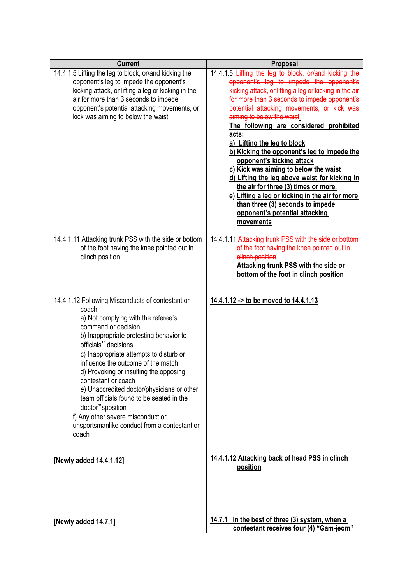| <b>Current</b>                                                                                                                                                                                                                                                                                                                                                                                                                                                                                                                                           | Proposal                                                                                                                                                                                                                                                                                                                                                                                                                                                                                                                                                                                                                                                                                                                     |
|----------------------------------------------------------------------------------------------------------------------------------------------------------------------------------------------------------------------------------------------------------------------------------------------------------------------------------------------------------------------------------------------------------------------------------------------------------------------------------------------------------------------------------------------------------|------------------------------------------------------------------------------------------------------------------------------------------------------------------------------------------------------------------------------------------------------------------------------------------------------------------------------------------------------------------------------------------------------------------------------------------------------------------------------------------------------------------------------------------------------------------------------------------------------------------------------------------------------------------------------------------------------------------------------|
| 14.4.1.5 Lifting the leg to block, or/and kicking the<br>opponent's leg to impede the opponent's<br>kicking attack, or lifting a leg or kicking in the<br>air for more than 3 seconds to impede<br>opponent's potential attacking movements, or<br>kick was aiming to below the waist                                                                                                                                                                                                                                                                    | 14.4.1.5 Lifting the leg to block, or/and kicking the<br>opponent's leg to impede the opponent's<br>kicking attack, or lifting a leg or kicking in the air<br>for more than 3 seconds to impede opponent's<br>potential attacking movements, or kick was<br>aiming to below the waist<br>The following are considered prohibited<br>acts:<br>a) Lifting the leg to block<br>b) Kicking the opponent's leg to impede the<br>opponent's kicking attack<br>c) Kick was aiming to below the waist<br>d) Lifting the leg above waist for kicking in<br>the air for three (3) times or more.<br>e) Lifting a leg or kicking in the air for more<br>than three (3) seconds to impede<br>opponent's potential attacking<br>movements |
| 14.4.1.11 Attacking trunk PSS with the side or bottom<br>of the foot having the knee pointed out in<br>clinch position                                                                                                                                                                                                                                                                                                                                                                                                                                   | 14.4.1.11 Attacking trunk PSS with the side or bottom<br>of the foot having the knee pointed out in-<br>clinch position<br><b>Attacking trunk PSS with the side or</b><br>bottom of the foot in clinch position                                                                                                                                                                                                                                                                                                                                                                                                                                                                                                              |
| 14.4.1.12 Following Misconducts of contestant or<br>coach<br>a) Not complying with the referee's<br>command or decision<br>b) Inappropriate protesting behavior to<br>officials" decisions<br>c) Inappropriate attempts to disturb or<br>influence the outcome of the match<br>d) Provoking or insulting the opposing<br>contestant or coach<br>e) Unaccredited doctor/physicians or other<br>team officials found to be seated in the<br>doctor"sposition<br>f) Any other severe misconduct or<br>unsportsmanlike conduct from a contestant or<br>coach | 14.4.1.12 -> to be moved to 14.4.1.13                                                                                                                                                                                                                                                                                                                                                                                                                                                                                                                                                                                                                                                                                        |
| [Newly added 14.4.1.12]                                                                                                                                                                                                                                                                                                                                                                                                                                                                                                                                  | 14.4.1.12 Attacking back of head PSS in clinch<br>position                                                                                                                                                                                                                                                                                                                                                                                                                                                                                                                                                                                                                                                                   |
| [Newly added 14.7.1]                                                                                                                                                                                                                                                                                                                                                                                                                                                                                                                                     | 14.7.1 In the best of three (3) system, when a<br>contestant receives four (4) "Gam-jeom"                                                                                                                                                                                                                                                                                                                                                                                                                                                                                                                                                                                                                                    |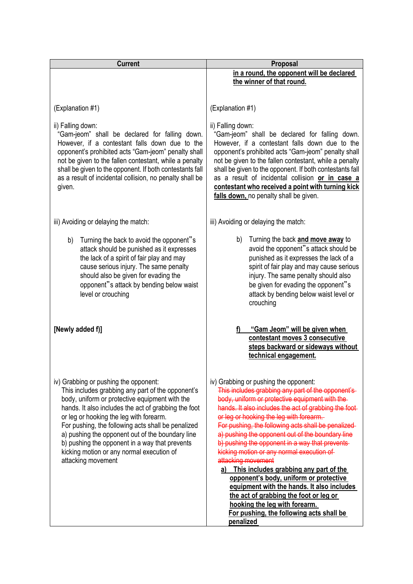| <b>Current</b>                                                                                                                                                                                                                                                                                                                                                                                                                                                                 | Proposal                                                                                                                                                                                                                                                                                                                                                                                                                                                                                                                                                                                                                                                                                                                                                   |  |
|--------------------------------------------------------------------------------------------------------------------------------------------------------------------------------------------------------------------------------------------------------------------------------------------------------------------------------------------------------------------------------------------------------------------------------------------------------------------------------|------------------------------------------------------------------------------------------------------------------------------------------------------------------------------------------------------------------------------------------------------------------------------------------------------------------------------------------------------------------------------------------------------------------------------------------------------------------------------------------------------------------------------------------------------------------------------------------------------------------------------------------------------------------------------------------------------------------------------------------------------------|--|
|                                                                                                                                                                                                                                                                                                                                                                                                                                                                                | in a round, the opponent will be declared<br>the winner of that round.                                                                                                                                                                                                                                                                                                                                                                                                                                                                                                                                                                                                                                                                                     |  |
|                                                                                                                                                                                                                                                                                                                                                                                                                                                                                |                                                                                                                                                                                                                                                                                                                                                                                                                                                                                                                                                                                                                                                                                                                                                            |  |
| (Explanation #1)                                                                                                                                                                                                                                                                                                                                                                                                                                                               | (Explanation #1)                                                                                                                                                                                                                                                                                                                                                                                                                                                                                                                                                                                                                                                                                                                                           |  |
| ii) Falling down:<br>"Gam-jeom" shall be declared for falling down.<br>However, if a contestant falls down due to the<br>opponent's prohibited acts "Gam-jeom" penalty shall<br>not be given to the fallen contestant, while a penalty<br>shall be given to the opponent. If both contestants fall<br>as a result of incidental collision, no penalty shall be<br>given.                                                                                                       | ii) Falling down:<br>"Gam-jeom" shall be declared for falling down.<br>However, if a contestant falls down due to the<br>opponent's prohibited acts "Gam-jeom" penalty shall<br>not be given to the fallen contestant, while a penalty<br>shall be given to the opponent. If both contestants fall<br>as a result of incidental collision or in case a<br>contestant who received a point with turning kick<br>falls down, no penalty shall be given.                                                                                                                                                                                                                                                                                                      |  |
| iii) Avoiding or delaying the match:                                                                                                                                                                                                                                                                                                                                                                                                                                           | iii) Avoiding or delaying the match:                                                                                                                                                                                                                                                                                                                                                                                                                                                                                                                                                                                                                                                                                                                       |  |
| Turning the back to avoid the opponent"s<br>b)<br>attack should be punished as it expresses<br>the lack of a spirit of fair play and may<br>cause serious injury. The same penalty<br>should also be given for evading the<br>opponent"s attack by bending below waist<br>level or crouching                                                                                                                                                                                   | Turning the back and move away to<br>b)<br>avoid the opponent"s attack should be<br>punished as it expresses the lack of a<br>spirit of fair play and may cause serious<br>injury. The same penalty should also<br>be given for evading the opponent"s<br>attack by bending below waist level or<br>crouching                                                                                                                                                                                                                                                                                                                                                                                                                                              |  |
| [Newly added f)]                                                                                                                                                                                                                                                                                                                                                                                                                                                               | "Gam Jeom" will be given when<br>contestant moves 3 consecutive<br>steps backward or sideways without<br>technical engagement.                                                                                                                                                                                                                                                                                                                                                                                                                                                                                                                                                                                                                             |  |
| iv) Grabbing or pushing the opponent:<br>This includes grabbing any part of the opponent's<br>body, uniform or protective equipment with the<br>hands. It also includes the act of grabbing the foot<br>or leg or hooking the leg with forearm.<br>For pushing, the following acts shall be penalized<br>a) pushing the opponent out of the boundary line<br>b) pushing the opponent in a way that prevents<br>kicking motion or any normal execution of<br>attacking movement | iv) Grabbing or pushing the opponent:<br>This includes grabbing any part of the opponent's<br>body, uniform or protective equipment with the<br>hands. It also includes the act of grabbing the foot-<br>or leg or hooking the leg with forearm.<br>For pushing, the following acts shall be penalized-<br>a) pushing the opponent out of the boundary line<br>b) pushing the opponent in a way that prevents-<br>kicking motion or any normal execution of<br>attacking movement<br>a) This includes grabbing any part of the<br>opponent's body, uniform or protective<br>equipment with the hands. It also includes<br>the act of grabbing the foot or leg or<br>hooking the leg with forearm.<br>For pushing, the following acts shall be<br>penalized |  |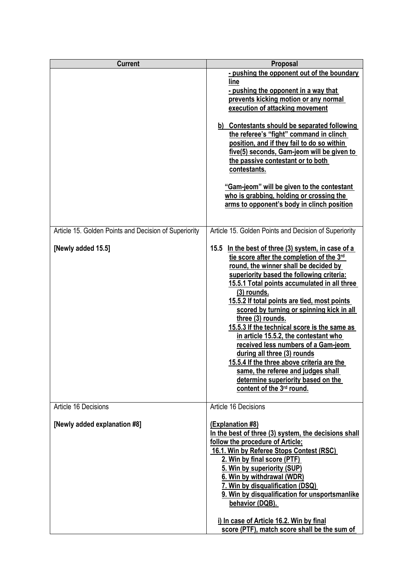| <b>Current</b>                                                              | Proposal                                                                                                                                                                                                                                                                                                                                                                                                                                                                                                                                                                                                                                                                                                                                                   |
|-----------------------------------------------------------------------------|------------------------------------------------------------------------------------------------------------------------------------------------------------------------------------------------------------------------------------------------------------------------------------------------------------------------------------------------------------------------------------------------------------------------------------------------------------------------------------------------------------------------------------------------------------------------------------------------------------------------------------------------------------------------------------------------------------------------------------------------------------|
|                                                                             | - pushing the opponent out of the boundary<br>line<br>- pushing the opponent in a way that<br>prevents kicking motion or any normal<br>execution of attacking movement<br>b) Contestants should be separated following<br>the referee's "fight" command in clinch<br>position, and if they fail to do so within<br>five(5) seconds, Gam-jeom will be given to<br>the passive contestant or to both<br>contestants.<br>"Gam-jeom" will be given to the contestant<br>who is grabbing, holding or crossing the<br>arms to opponent's body in clinch position                                                                                                                                                                                                 |
| Article 15. Golden Points and Decision of Superiority<br>[Newly added 15.5] | Article 15. Golden Points and Decision of Superiority<br>15.5<br>In the best of three (3) system, in case of a<br>tie score after the completion of the 3rd<br>round, the winner shall be decided by<br>superiority based the following criteria:<br>15.5.1 Total points accumulated in all three<br>$(3)$ rounds.<br>15.5.2 If total points are tied, most points<br>scored by turning or spinning kick in all<br>three (3) rounds.<br>15.5.3 If the technical score is the same as<br>in article 15.5.2, the contestant who<br>received less numbers of a Gam-jeom<br>during all three (3) rounds<br>15.5.4 If the three above criteria are the<br>same, the referee and judges shall<br>determine superiority based on the<br>content of the 3rd round. |
| Article 16 Decisions<br>[Newly added explanation #8]                        | Article 16 Decisions<br>(Explanation #8)<br>In the best of three (3) system, the decisions shall<br>follow the procedure of Article;<br>16.1. Win by Referee Stops Contest (RSC)<br>2. Win by final score (PTF)<br>5. Win by superiority (SUP)<br>6. Win by withdrawal (WDR)<br>7. Win by disqualification (DSQ)<br>9. Win by disqualification for unsportsmanlike<br>behavior (DQB).<br>i) In case of Article 16.2. Win by final<br>score (PTF), match score shall be the sum of                                                                                                                                                                                                                                                                          |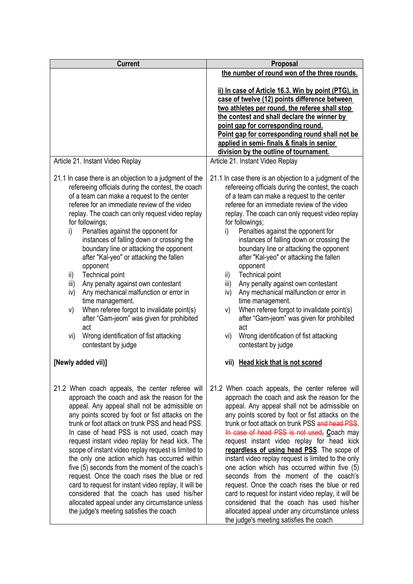| <b>Current</b>                                                                                                                                                                                                                                                                                                                                                                                                                                                                                                                                                                                                                                                                                                                                                                                                   | Proposal                                                                                                                                                                                                                                                                                                                                                                                                                                                                                                                                                                                                                                                                                                                                                                                                         |  |
|------------------------------------------------------------------------------------------------------------------------------------------------------------------------------------------------------------------------------------------------------------------------------------------------------------------------------------------------------------------------------------------------------------------------------------------------------------------------------------------------------------------------------------------------------------------------------------------------------------------------------------------------------------------------------------------------------------------------------------------------------------------------------------------------------------------|------------------------------------------------------------------------------------------------------------------------------------------------------------------------------------------------------------------------------------------------------------------------------------------------------------------------------------------------------------------------------------------------------------------------------------------------------------------------------------------------------------------------------------------------------------------------------------------------------------------------------------------------------------------------------------------------------------------------------------------------------------------------------------------------------------------|--|
|                                                                                                                                                                                                                                                                                                                                                                                                                                                                                                                                                                                                                                                                                                                                                                                                                  | the number of round won of the three rounds.                                                                                                                                                                                                                                                                                                                                                                                                                                                                                                                                                                                                                                                                                                                                                                     |  |
|                                                                                                                                                                                                                                                                                                                                                                                                                                                                                                                                                                                                                                                                                                                                                                                                                  | ii) In case of Article 16.3. Win by point (PTG), in<br>case of twelve (12) points difference between<br>two athletes per round, the referee shall stop<br>the contest and shall declare the winner by<br>point gap for corresponding round.<br>Point gap for corresponding round shall not be<br>applied in semi- finals & finals in senior                                                                                                                                                                                                                                                                                                                                                                                                                                                                      |  |
| Article 21. Instant Video Replay                                                                                                                                                                                                                                                                                                                                                                                                                                                                                                                                                                                                                                                                                                                                                                                 | division by the outline of tournament.<br>Article 21. Instant Video Replay                                                                                                                                                                                                                                                                                                                                                                                                                                                                                                                                                                                                                                                                                                                                       |  |
| 21.1 In case there is an objection to a judgment of the<br>refereeing officials during the contest, the coach<br>of a team can make a request to the center<br>referee for an immediate review of the video<br>replay. The coach can only request video replay<br>for followings;<br>Penalties against the opponent for<br>i)<br>instances of falling down or crossing the<br>boundary line or attacking the opponent<br>after "Kal-yeo" or attacking the fallen<br>opponent<br><b>Technical point</b><br>ii)<br>iii)<br>Any penalty against own contestant<br>iv)<br>Any mechanical malfunction or error in<br>time management.<br>When referee forgot to invalidate point(s)<br>V)<br>after "Gam-jeom" was given for prohibited<br>act<br>Wrong identification of fist attacking<br>vi)<br>contestant by judge | 21.1 In case there is an objection to a judgment of the<br>refereeing officials during the contest, the coach<br>of a team can make a request to the center<br>referee for an immediate review of the video<br>replay. The coach can only request video replay<br>for followings;<br>Penalties against the opponent for<br>i)<br>instances of falling down or crossing the<br>boundary line or attacking the opponent<br>after "Kal-yeo" or attacking the fallen<br>opponent<br><b>Technical point</b><br>ii)<br>iii)<br>Any penalty against own contestant<br>Any mechanical malfunction or error in<br>iv)<br>time management.<br>When referee forgot to invalidate point(s)<br>V)<br>after "Gam-jeom" was given for prohibited<br>act<br>Wrong identification of fist attacking<br>vi)<br>contestant by judge |  |
| [Newly added vii)]                                                                                                                                                                                                                                                                                                                                                                                                                                                                                                                                                                                                                                                                                                                                                                                               | vii) Head kick that is not scored                                                                                                                                                                                                                                                                                                                                                                                                                                                                                                                                                                                                                                                                                                                                                                                |  |
| 21.2 When coach appeals, the center referee will<br>approach the coach and ask the reason for the<br>appeal. Any appeal shall not be admissible on<br>any points scored by foot or fist attacks on the<br>trunk or foot attack on trunk PSS and head PSS.<br>In case of head PSS is not used, coach may<br>request instant video replay for head kick. The<br>scope of instant video replay request is limited to<br>the only one action which has occurred within<br>five (5) seconds from the moment of the coach's<br>request. Once the coach rises the blue or red<br>card to request for instant video replay, it will be<br>considered that the coach has used his/her<br>allocated appeal under any circumstance unless<br>the judge's meeting satisfies the coach                                        | 21.2 When coach appeals, the center referee will<br>approach the coach and ask the reason for the<br>appeal. Any appeal shall not be admissible on<br>any points scored by foot or fist attacks on the<br>trunk or foot attack on trunk PSS and head PSS.<br>In case of head PSS is not used, Coach may<br>request instant video replay for head kick<br>regardless of using head PSS. The scope of<br>instant video replay request is limited to the only<br>one action which has occurred within five (5)<br>seconds from the moment of the coach's<br>request. Once the coach rises the blue or red<br>card to request for instant video replay, it will be<br>considered that the coach has used his/her<br>allocated appeal under any circumstance unless<br>the judge's meeting satisfies the coach        |  |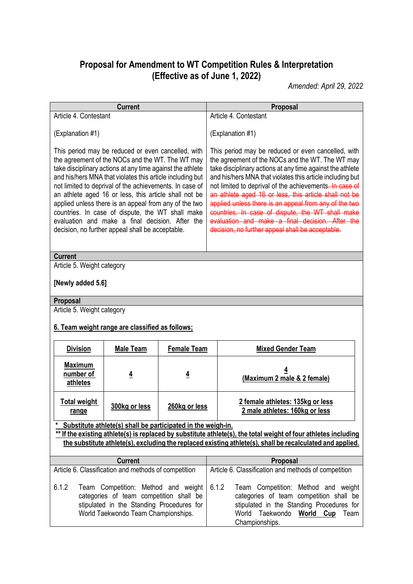## **Proposal for Amendment to WT Competition Rules & Interpretation (Effective as of June 1, 2022)**

*Amended: April 29, 2022*

|                                                                                                                                                                                                                                                                                                                                                                                                                                                                                                                                                                          | <b>Current</b>                                                                                                                                                     |                    |                                                                                                                                                                                                                                                                                                                                                                                                                                                                                                                                                                          | Proposal                                                                                                                                                                              |
|--------------------------------------------------------------------------------------------------------------------------------------------------------------------------------------------------------------------------------------------------------------------------------------------------------------------------------------------------------------------------------------------------------------------------------------------------------------------------------------------------------------------------------------------------------------------------|--------------------------------------------------------------------------------------------------------------------------------------------------------------------|--------------------|--------------------------------------------------------------------------------------------------------------------------------------------------------------------------------------------------------------------------------------------------------------------------------------------------------------------------------------------------------------------------------------------------------------------------------------------------------------------------------------------------------------------------------------------------------------------------|---------------------------------------------------------------------------------------------------------------------------------------------------------------------------------------|
| Article 4. Contestant                                                                                                                                                                                                                                                                                                                                                                                                                                                                                                                                                    |                                                                                                                                                                    |                    |                                                                                                                                                                                                                                                                                                                                                                                                                                                                                                                                                                          | Article 4. Contestant                                                                                                                                                                 |
| (Explanation #1)                                                                                                                                                                                                                                                                                                                                                                                                                                                                                                                                                         |                                                                                                                                                                    |                    | (Explanation #1)                                                                                                                                                                                                                                                                                                                                                                                                                                                                                                                                                         |                                                                                                                                                                                       |
| This period may be reduced or even cancelled, with<br>the agreement of the NOCs and the WT. The WT may<br>take disciplinary actions at any time against the athlete<br>and his/hers MNA that violates this article including but<br>not limited to deprival of the achievements. In case of<br>an athlete aged 16 or less, this article shall not be<br>applied unless there is an appeal from any of the two<br>countries. In case of dispute, the WT shall make<br>evaluation and make a final decision. After the<br>decision, no further appeal shall be acceptable. |                                                                                                                                                                    |                    | This period may be reduced or even cancelled, with<br>the agreement of the NOCs and the WT. The WT may<br>take disciplinary actions at any time against the athlete<br>and his/hers MNA that violates this article including but<br>not limited to deprival of the achievements. In case of<br>an athlete aged 16 or less, this article shall not be<br>applied unless there is an appeal from any of the two<br>countries. In case of dispute, the WT shall make<br>evaluation and make a final decision. After the<br>decision, no further appeal shall be acceptable. |                                                                                                                                                                                       |
| <b>Current</b>                                                                                                                                                                                                                                                                                                                                                                                                                                                                                                                                                           |                                                                                                                                                                    |                    |                                                                                                                                                                                                                                                                                                                                                                                                                                                                                                                                                                          |                                                                                                                                                                                       |
| Article 5. Weight category                                                                                                                                                                                                                                                                                                                                                                                                                                                                                                                                               |                                                                                                                                                                    |                    |                                                                                                                                                                                                                                                                                                                                                                                                                                                                                                                                                                          |                                                                                                                                                                                       |
| [Newly added 5.6]                                                                                                                                                                                                                                                                                                                                                                                                                                                                                                                                                        |                                                                                                                                                                    |                    |                                                                                                                                                                                                                                                                                                                                                                                                                                                                                                                                                                          |                                                                                                                                                                                       |
| Proposal                                                                                                                                                                                                                                                                                                                                                                                                                                                                                                                                                                 |                                                                                                                                                                    |                    |                                                                                                                                                                                                                                                                                                                                                                                                                                                                                                                                                                          |                                                                                                                                                                                       |
| Article 5. Weight category<br>6. Team weight range are classified as follows;                                                                                                                                                                                                                                                                                                                                                                                                                                                                                            |                                                                                                                                                                    |                    |                                                                                                                                                                                                                                                                                                                                                                                                                                                                                                                                                                          |                                                                                                                                                                                       |
| <b>Division</b>                                                                                                                                                                                                                                                                                                                                                                                                                                                                                                                                                          | <b>Male Team</b>                                                                                                                                                   | <b>Female Team</b> |                                                                                                                                                                                                                                                                                                                                                                                                                                                                                                                                                                          | <b>Mixed Gender Team</b>                                                                                                                                                              |
| <b>Maximum</b><br>number of<br>athletes                                                                                                                                                                                                                                                                                                                                                                                                                                                                                                                                  | $\overline{4}$                                                                                                                                                     | 4                  |                                                                                                                                                                                                                                                                                                                                                                                                                                                                                                                                                                          | 4<br>(Maximum 2 male & 2 female)                                                                                                                                                      |
| <b>Total weight</b><br>range                                                                                                                                                                                                                                                                                                                                                                                                                                                                                                                                             | 300kg or less                                                                                                                                                      | 260kg or less      |                                                                                                                                                                                                                                                                                                                                                                                                                                                                                                                                                                          | 2 female athletes: 135kg or less<br>2 male athletes: 160kg or less                                                                                                                    |
| Substitute athlete(s) shall be participated in the weigh-in.                                                                                                                                                                                                                                                                                                                                                                                                                                                                                                             |                                                                                                                                                                    |                    |                                                                                                                                                                                                                                                                                                                                                                                                                                                                                                                                                                          |                                                                                                                                                                                       |
|                                                                                                                                                                                                                                                                                                                                                                                                                                                                                                                                                                          |                                                                                                                                                                    |                    |                                                                                                                                                                                                                                                                                                                                                                                                                                                                                                                                                                          | ** If the existing athlete(s) is replaced by substitute athlete(s), the total weight of four athletes including                                                                       |
| the substitute athlete(s), excluding the replaced existing athlete(s), shall be recalculated and applied.                                                                                                                                                                                                                                                                                                                                                                                                                                                                |                                                                                                                                                                    |                    |                                                                                                                                                                                                                                                                                                                                                                                                                                                                                                                                                                          |                                                                                                                                                                                       |
| <b>Current</b><br>Proposal                                                                                                                                                                                                                                                                                                                                                                                                                                                                                                                                               |                                                                                                                                                                    |                    |                                                                                                                                                                                                                                                                                                                                                                                                                                                                                                                                                                          |                                                                                                                                                                                       |
| Article 6. Classification and methods of competition                                                                                                                                                                                                                                                                                                                                                                                                                                                                                                                     |                                                                                                                                                                    |                    | Article 6. Classification and methods of competition                                                                                                                                                                                                                                                                                                                                                                                                                                                                                                                     |                                                                                                                                                                                       |
| 6.1.2                                                                                                                                                                                                                                                                                                                                                                                                                                                                                                                                                                    | Team Competition: Method and weight<br>categories of team competition shall be<br>stipulated in the Standing Procedures for<br>World Taekwondo Team Championships. |                    | 6.1.2                                                                                                                                                                                                                                                                                                                                                                                                                                                                                                                                                                    | Team Competition: Method and weight<br>categories of team competition shall be<br>stipulated in the Standing Procedures for<br>World Taekwondo<br>World Cup<br>Team<br>Championships. |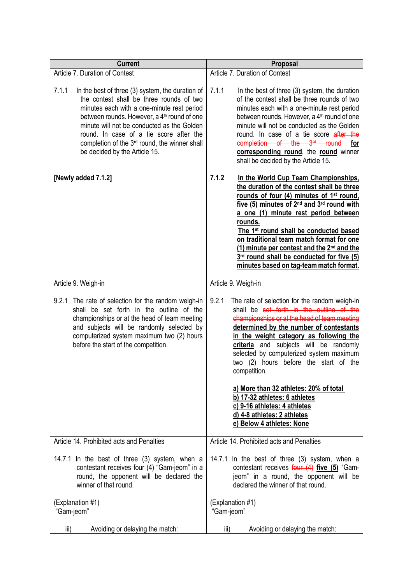| <b>Current</b>                                                                                                                                                                                                                                                                                                                                                                                        | Proposal                                                                                                                                                                                                                                                                                                                                                                                                                                                                                                                                                      |  |
|-------------------------------------------------------------------------------------------------------------------------------------------------------------------------------------------------------------------------------------------------------------------------------------------------------------------------------------------------------------------------------------------------------|---------------------------------------------------------------------------------------------------------------------------------------------------------------------------------------------------------------------------------------------------------------------------------------------------------------------------------------------------------------------------------------------------------------------------------------------------------------------------------------------------------------------------------------------------------------|--|
| Article 7. Duration of Contest                                                                                                                                                                                                                                                                                                                                                                        | Article 7. Duration of Contest                                                                                                                                                                                                                                                                                                                                                                                                                                                                                                                                |  |
| 7.1.1<br>In the best of three (3) system, the duration of<br>the contest shall be three rounds of two<br>minutes each with a one-minute rest period<br>between rounds. However, a 4 <sup>th</sup> round of one<br>minute will not be conducted as the Golden<br>round. In case of a tie score after the<br>completion of the 3 <sup>rd</sup> round, the winner shall<br>be decided by the Article 15. | 7.1.1<br>In the best of three (3) system, the duration<br>of the contest shall be three rounds of two<br>minutes each with a one-minute rest period<br>between rounds. However, a 4 <sup>th</sup> round of one<br>minute will not be conducted as the Golden<br>round. In case of a tie score after the<br>completion of the 3 <sup>rd</sup> round<br>for<br>corresponding round, the round winner<br>shall be decided by the Article 15.                                                                                                                     |  |
| [Newly added 7.1.2]                                                                                                                                                                                                                                                                                                                                                                                   | 7.1.2<br>In the World Cup Team Championships,<br>the duration of the contest shall be three<br>rounds of four (4) minutes of 1 <sup>st</sup> round,<br>five (5) minutes of 2 <sup>nd</sup> and 3 <sup>rd</sup> round with<br>a one (1) minute rest period between<br>rounds.<br>The 1 <sup>st</sup> round shall be conducted based<br>on traditional team match format for one<br>(1) minute per contest and the 2 <sup>nd</sup> and the<br>3rd round shall be conducted for five (5)<br>minutes based on tag-team match format.                              |  |
| Article 9. Weigh-in                                                                                                                                                                                                                                                                                                                                                                                   | Article 9. Weigh-in                                                                                                                                                                                                                                                                                                                                                                                                                                                                                                                                           |  |
| 9.2.1 The rate of selection for the random weigh-in<br>shall be set forth in the outline of the<br>championships or at the head of team meeting<br>and subjects will be randomly selected by<br>computerized system maximum two (2) hours<br>before the start of the competition.                                                                                                                     | 9.2.1<br>The rate of selection for the random weigh-in<br>shall be set forth in the outline of the<br>championships or at the head of team meeting<br>determined by the number of contestants<br>in the weight category as following the<br>criteria and subjects will be randomly<br>selected by computerized system maximum<br>two (2) hours before the start of the<br>competition.<br>a) More than 32 athletes: 20% of total<br>b) 17-32 athletes: 6 athletes<br>c) 9-16 athletes: 4 athletes<br>d) 4-8 athletes: 2 athletes<br>e) Below 4 athletes: None |  |
| Article 14. Prohibited acts and Penalties                                                                                                                                                                                                                                                                                                                                                             | Article 14. Prohibited acts and Penalties                                                                                                                                                                                                                                                                                                                                                                                                                                                                                                                     |  |
| 14.7.1 In the best of three (3) system, when a<br>contestant receives four (4) "Gam-jeom" in a<br>round, the opponent will be declared the<br>winner of that round.                                                                                                                                                                                                                                   | 14.7.1 In the best of three (3) system, when a<br>contestant receives four (4) five (5) "Gam-<br>jeom" in a round, the opponent will be<br>declared the winner of that round.                                                                                                                                                                                                                                                                                                                                                                                 |  |
| (Explanation #1)<br>"Gam-jeom"                                                                                                                                                                                                                                                                                                                                                                        | (Explanation #1)<br>"Gam-jeom"                                                                                                                                                                                                                                                                                                                                                                                                                                                                                                                                |  |
| iii)<br>Avoiding or delaying the match:                                                                                                                                                                                                                                                                                                                                                               | iii)<br>Avoiding or delaying the match:                                                                                                                                                                                                                                                                                                                                                                                                                                                                                                                       |  |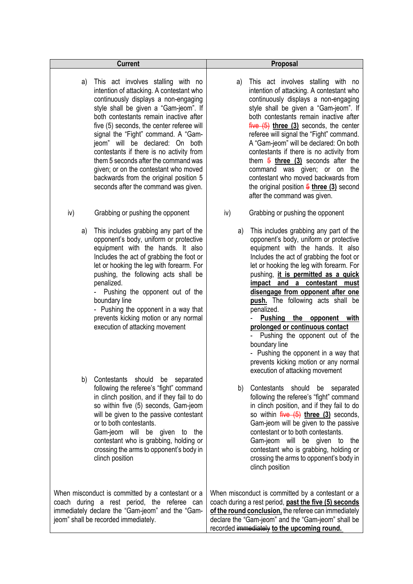| <b>Current</b>                                                                                                                                                                                                                                                                                                                                                                                                                                                                                                                                        | Proposal                                                                                                                                                                                                                                                                                                                                                                                                                                                                                                                                                                                                                          |
|-------------------------------------------------------------------------------------------------------------------------------------------------------------------------------------------------------------------------------------------------------------------------------------------------------------------------------------------------------------------------------------------------------------------------------------------------------------------------------------------------------------------------------------------------------|-----------------------------------------------------------------------------------------------------------------------------------------------------------------------------------------------------------------------------------------------------------------------------------------------------------------------------------------------------------------------------------------------------------------------------------------------------------------------------------------------------------------------------------------------------------------------------------------------------------------------------------|
| This act involves stalling with no<br>a)<br>intention of attacking. A contestant who<br>continuously displays a non-engaging<br>style shall be given a "Gam-jeom". If<br>both contestants remain inactive after<br>five (5) seconds, the center referee will<br>signal the "Fight" command. A "Gam-<br>jeom" will be declared: On both<br>contestants if there is no activity from<br>them 5 seconds after the command was<br>given; or on the contestant who moved<br>backwards from the original position 5<br>seconds after the command was given. | This act involves stalling with no<br>a)<br>intention of attacking. A contestant who<br>continuously displays a non-engaging<br>style shall be given a "Gam-jeom". If<br>both contestants remain inactive after<br>$five (5)$ three $(3)$ seconds, the center<br>referee will signal the "Fight" command.<br>A "Gam-jeom" will be declared: On both<br>contestants if there is no activity from<br>them $\frac{5}{9}$ three (3) seconds after the<br>command was given; or on the<br>contestant who moved backwards from<br>the original position $\frac{5 \text{ three (3)}}{2 \text{ second}}$<br>after the command was given.  |
| iv)<br>Grabbing or pushing the opponent                                                                                                                                                                                                                                                                                                                                                                                                                                                                                                               | iv)<br>Grabbing or pushing the opponent                                                                                                                                                                                                                                                                                                                                                                                                                                                                                                                                                                                           |
| This includes grabbing any part of the<br>a)<br>opponent's body, uniform or protective<br>equipment with the hands. It also<br>Includes the act of grabbing the foot or<br>let or hooking the leg with forearm. For<br>pushing, the following acts shall be<br>penalized.<br>Pushing the opponent out of the<br>boundary line<br>- Pushing the opponent in a way that<br>prevents kicking motion or any normal<br>execution of attacking movement                                                                                                     | This includes grabbing any part of the<br>a)<br>opponent's body, uniform or protective<br>equipment with the hands. It also<br>Includes the act of grabbing the foot or<br>let or hooking the leg with forearm. For<br>pushing, <i>it is permitted as a quick</i><br>impact and a contestant must<br>disengage from opponent after one<br>push. The following acts shall be<br>penalized.<br>Pushing the opponent with<br>prolonged or continuous contact<br>Pushing the opponent out of the<br>boundary line<br>- Pushing the opponent in a way that<br>prevents kicking motion or any normal<br>execution of attacking movement |
| b)<br>Contestants should be separated<br>following the referee's "fight" command<br>in clinch position, and if they fail to do<br>so within five (5) seconds, Gam-jeom<br>will be given to the passive contestant<br>or to both contestants.<br>Gam-jeom will be given to the<br>contestant who is grabbing, holding or<br>crossing the arms to opponent's body in<br>clinch position                                                                                                                                                                 | Contestants should be separated<br>b)<br>following the referee's "fight" command<br>in clinch position, and if they fail to do<br>so within $five (5)$ three $(3)$ seconds,<br>Gam-jeom will be given to the passive<br>contestant or to both contestants.<br>Gam-jeom will be given to the<br>contestant who is grabbing, holding or<br>crossing the arms to opponent's body in<br>clinch position                                                                                                                                                                                                                               |
| When misconduct is committed by a contestant or a<br>coach during a rest period, the referee can<br>immediately declare the "Gam-jeom" and the "Gam-<br>jeom" shall be recorded immediately.                                                                                                                                                                                                                                                                                                                                                          | When misconduct is committed by a contestant or a<br>coach during a rest period, past the five (5) seconds<br>of the round conclusion, the referee can immediately<br>declare the "Gam-jeom" and the "Gam-jeom" shall be<br>recorded immediately to the upcoming round.                                                                                                                                                                                                                                                                                                                                                           |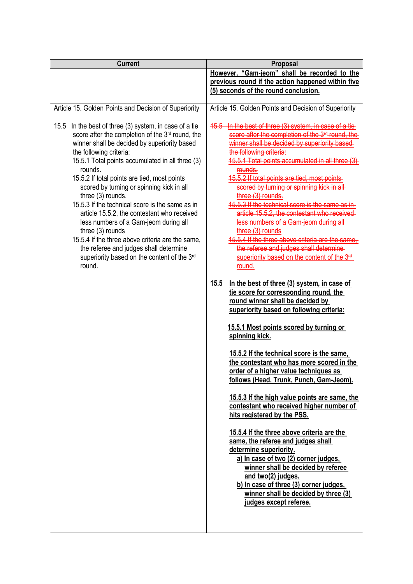| <b>Current</b>                                                                                                                                                                                                                                                                                                                                                                                                                                                                                                                                                                                                                                                                                             | Proposal                                                                                                                                                                                                                                                                                                                                                                                                                                                                                                                                                                                                                                                                                                                                                                                                                                                                                                                                                                                                                                                                                                                                                                                                                                                                                                                                                                                                                                                                                                                                                                             |
|------------------------------------------------------------------------------------------------------------------------------------------------------------------------------------------------------------------------------------------------------------------------------------------------------------------------------------------------------------------------------------------------------------------------------------------------------------------------------------------------------------------------------------------------------------------------------------------------------------------------------------------------------------------------------------------------------------|--------------------------------------------------------------------------------------------------------------------------------------------------------------------------------------------------------------------------------------------------------------------------------------------------------------------------------------------------------------------------------------------------------------------------------------------------------------------------------------------------------------------------------------------------------------------------------------------------------------------------------------------------------------------------------------------------------------------------------------------------------------------------------------------------------------------------------------------------------------------------------------------------------------------------------------------------------------------------------------------------------------------------------------------------------------------------------------------------------------------------------------------------------------------------------------------------------------------------------------------------------------------------------------------------------------------------------------------------------------------------------------------------------------------------------------------------------------------------------------------------------------------------------------------------------------------------------------|
|                                                                                                                                                                                                                                                                                                                                                                                                                                                                                                                                                                                                                                                                                                            | However, "Gam-jeom" shall be recorded to the<br>previous round if the action happened within five<br>(5) seconds of the round conclusion.                                                                                                                                                                                                                                                                                                                                                                                                                                                                                                                                                                                                                                                                                                                                                                                                                                                                                                                                                                                                                                                                                                                                                                                                                                                                                                                                                                                                                                            |
| Article 15. Golden Points and Decision of Superiority                                                                                                                                                                                                                                                                                                                                                                                                                                                                                                                                                                                                                                                      | Article 15. Golden Points and Decision of Superiority                                                                                                                                                                                                                                                                                                                                                                                                                                                                                                                                                                                                                                                                                                                                                                                                                                                                                                                                                                                                                                                                                                                                                                                                                                                                                                                                                                                                                                                                                                                                |
| 15.5 In the best of three (3) system, in case of a tie<br>score after the completion of the 3 <sup>rd</sup> round, the<br>winner shall be decided by superiority based<br>the following criteria:<br>15.5.1 Total points accumulated in all three (3)<br>rounds.<br>15.5.2 If total points are tied, most points<br>scored by turning or spinning kick in all<br>three (3) rounds.<br>15.5.3 If the technical score is the same as in<br>article 15.5.2, the contestant who received<br>less numbers of a Gam-jeom during all<br>three $(3)$ rounds<br>15.5.4 If the three above criteria are the same,<br>the referee and judges shall determine<br>superiority based on the content of the 3rd<br>round. | In the best of three (3) system, in case of<br>$45.5 -$<br>score after the completion of the 3 <sup>rd</sup> round.<br>winner shall be decided by superiority based<br>the following criteria:<br>5.5.1 Total points accumulated in all three (3)<br>15.5.2 If total points are tied, most point<br>scored by turning or spinning kick in<br>three (3) rounds.<br>15.5.3 If the technical score is the same a<br>article 15.5.2, the contestant who received<br>less numbers of a Gam-jeom during all-<br>three (3) rounds<br>15.5.4 If the three above criteria are the same,<br>the referee and judges shall determine<br>superiority based on the content of the 3 <sup>rd</sup><br>round.<br>15.5<br>In the best of three (3) system, in case of<br>tie score for corresponding round, the<br>round winner shall be decided by<br>superiority based on following criteria:<br>15.5.1 Most points scored by turning or<br>spinning kick.<br>15.5.2 If the technical score is the same,<br>the contestant who has more scored in the<br>order of a higher value techniques as<br>follows (Head, Trunk, Punch, Gam-Jeom).<br>15.5.3 If the high value points are same, the<br>contestant who received higher number of<br>hits registered by the PSS.<br>15.5.4 If the three above criteria are the<br>same, the referee and judges shall<br>determine superiority.<br>a) In case of two (2) corner judges,<br>winner shall be decided by referee<br>and two(2) judges.<br>b) In case of three (3) corner judges,<br>winner shall be decided by three (3)<br>judges except referee. |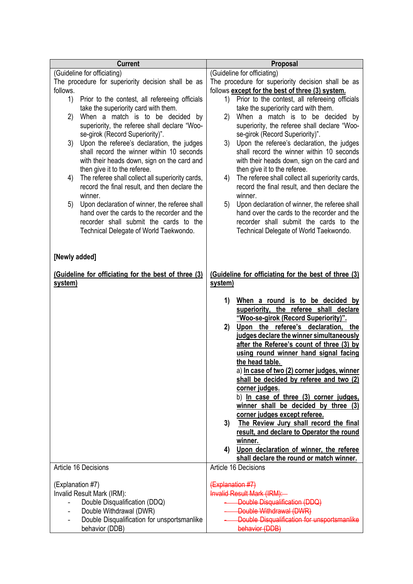|                  | <b>Current</b>                                                                                    | Proposal                                                                                                |
|------------------|---------------------------------------------------------------------------------------------------|---------------------------------------------------------------------------------------------------------|
|                  | (Guideline for officiating)                                                                       | (Guideline for officiating)                                                                             |
|                  | The procedure for superiority decision shall be as                                                | The procedure for superiority decision shall be as                                                      |
| follows.         |                                                                                                   | follows except for the best of three (3) system.<br>Prior to the contest, all refereeing officials      |
| 1)               | Prior to the contest, all refereeing officials<br>take the superiority card with them.            | 1)<br>take the superiority card with them.                                                              |
| 2)               | When a match is to be decided<br>by                                                               | 2)<br>When a match is to be decided by                                                                  |
|                  | superiority, the referee shall declare "Woo-                                                      | superiority, the referee shall declare "Woo-                                                            |
|                  | se-girok (Record Superiority)".                                                                   | se-girok (Record Superiority)".                                                                         |
|                  | 3) Upon the referee's declaration, the judges                                                     | Upon the referee's declaration, the judges<br>3)                                                        |
|                  | shall record the winner within 10 seconds                                                         | shall record the winner within 10 seconds                                                               |
|                  | with their heads down, sign on the card and                                                       | with their heads down, sign on the card and                                                             |
|                  | then give it to the referee.                                                                      | then give it to the referee.                                                                            |
| 4)               | The referee shall collect all superiority cards,<br>record the final result, and then declare the | The referee shall collect all superiority cards,<br>4)<br>record the final result, and then declare the |
|                  | winner.                                                                                           | winner.                                                                                                 |
| 5)               | Upon declaration of winner, the referee shall                                                     | Upon declaration of winner, the referee shall<br>5)                                                     |
|                  | hand over the cards to the recorder and the                                                       | hand over the cards to the recorder and the                                                             |
|                  | recorder shall submit the cards to the                                                            | recorder shall submit the cards to the                                                                  |
|                  | Technical Delegate of World Taekwondo.                                                            | Technical Delegate of World Taekwondo.                                                                  |
|                  |                                                                                                   |                                                                                                         |
| [Newly added]    |                                                                                                   |                                                                                                         |
|                  |                                                                                                   |                                                                                                         |
|                  | (Guideline for officiating for the best of three (3)                                              | (Guideline for officiating for the best of three (3)                                                    |
| system)          |                                                                                                   | system)                                                                                                 |
|                  |                                                                                                   |                                                                                                         |
|                  |                                                                                                   | When a round is to be decided by<br>1)<br>superiority, the referee shall declare                        |
|                  |                                                                                                   | "Woo-se-girok (Record Superiority)".                                                                    |
|                  |                                                                                                   | 2)<br>Upon the referee's declaration,<br>the                                                            |
|                  |                                                                                                   | judges declare the winner simultaneously                                                                |
|                  |                                                                                                   | after the Referee's count of three (3) by                                                               |
|                  |                                                                                                   | using round winner hand signal facing                                                                   |
|                  |                                                                                                   | the head table.                                                                                         |
|                  |                                                                                                   | a) In case of two (2) corner judges, winner<br>shall be decided by referee and two (2)                  |
|                  |                                                                                                   | corner judges.                                                                                          |
|                  |                                                                                                   | b) In case of three (3) corner judges.                                                                  |
|                  |                                                                                                   | winner shall be decided by three (3)                                                                    |
|                  |                                                                                                   | corner judges except referee.                                                                           |
|                  |                                                                                                   | The Review Jury shall record the final<br>3)                                                            |
|                  |                                                                                                   | result, and declare to Operator the round<br>winner.                                                    |
|                  |                                                                                                   | Upon declaration of winner, the referee<br>4)                                                           |
|                  |                                                                                                   | shall declare the round or match winner.                                                                |
|                  | Article 16 Decisions                                                                              | Article 16 Decisions                                                                                    |
| (Explanation #7) |                                                                                                   |                                                                                                         |
|                  | Invalid Result Mark (IRM):                                                                        | (Explanation #7)<br><b>Invalid Result Mark (IRM):</b>                                                   |
|                  | Double Disqualification (DDQ)                                                                     | Double Disqualification (DDQ)                                                                           |
|                  | Double Withdrawal (DWR)                                                                           | Double Withdrawal (DWR)                                                                                 |
|                  | Double Disqualification for unsportsmanlike                                                       | Double Disqualification for unsportsmanlike                                                             |
|                  | behavior (DDB)                                                                                    | behavior (DDB)                                                                                          |